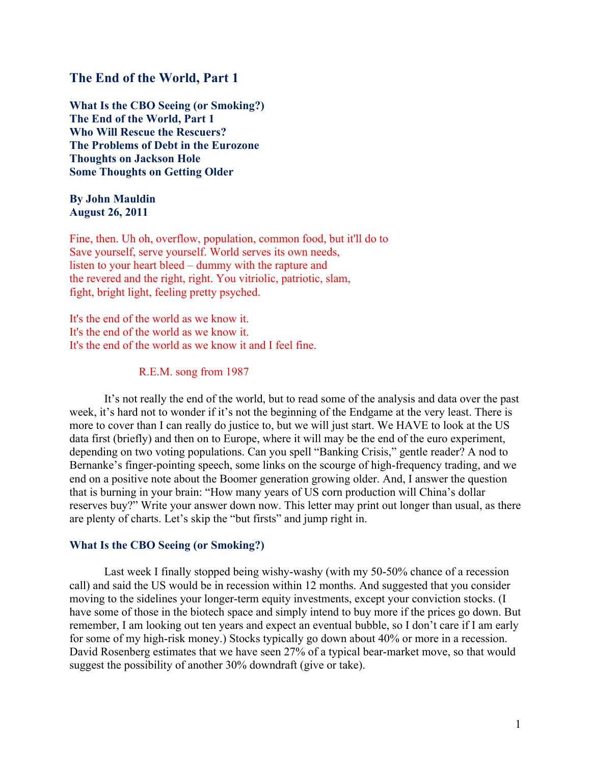# **The End of the World, Part 1**

**What Is the CBO Seeing (or Smoking?) The End of the World, Part 1 Who Will Rescue the Rescuers? The Problems of Debt in the Eurozone Thoughts on Jackson Hole Some Thoughts on Getting Older**

### **By John Mauldin August 26, 2011**

Fine, then. Uh oh, overflow, population, common food, but it'll do to Save yourself, serve yourself. World serves its own needs, listen to your heart bleed – dummy with the rapture and the revered and the right, right. You vitriolic, patriotic, slam, fight, bright light, feeling pretty psyched.

It's the end of the world as we know it. It's the end of the world as we know it. It's the end of the world as we know it and I feel fine.

### R.E.M. song from 1987

It's not really the end of the world, but to read some of the analysis and data over the past week, it's hard not to wonder if it's not the beginning of the Endgame at the very least. There is more to cover than I can really do justice to, but we will just start. We HAVE to look at the US data first (briefly) and then on to Europe, where it will may be the end of the euro experiment, depending on two voting populations. Can you spell "Banking Crisis," gentle reader? A nod to Bernanke's finger-pointing speech, some links on the scourge of high-frequency trading, and we end on a positive note about the Boomer generation growing older. And, I answer the question that is burning in your brain: "How many years of US corn production will China's dollar reserves buy?" Write your answer down now. This letter may print out longer than usual, as there are plenty of charts. Let's skip the "but firsts" and jump right in.

# **What Is the CBO Seeing (or Smoking?)**

Last week I finally stopped being wishy-washy (with my 50-50% chance of a recession call) and said the US would be in recession within 12 months. And suggested that you consider moving to the sidelines your longer-term equity investments, except your conviction stocks. (I have some of those in the biotech space and simply intend to buy more if the prices go down. But remember, I am looking out ten years and expect an eventual bubble, so I don't care if I am early for some of my high-risk money.) Stocks typically go down about 40% or more in a recession. David Rosenberg estimates that we have seen 27% of a typical bear-market move, so that would suggest the possibility of another 30% downdraft (give or take).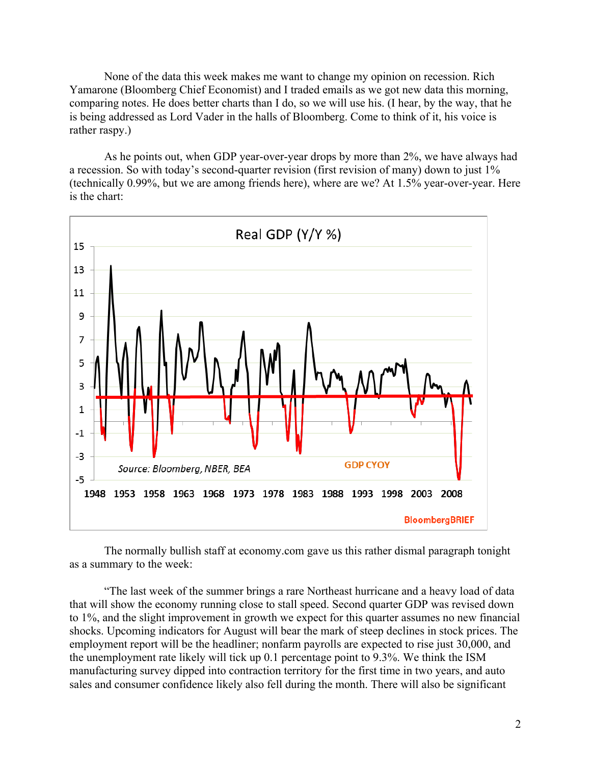None of the data this week makes me want to change my opinion on recession. Rich Yamarone (Bloomberg Chief Economist) and I traded emails as we got new data this morning, comparing notes. He does better charts than I do, so we will use his. (I hear, by the way, that he is being addressed as Lord Vader in the halls of Bloomberg. Come to think of it, his voice is rather raspy.)

As he points out, when GDP year-over-year drops by more than 2%, we have always had a recession. So with today's second-quarter revision (first revision of many) down to just 1% (technically 0.99%, but we are among friends here), where are we? At 1.5% year-over-year. Here is the chart:



The normally bullish staff at economy.com gave us this rather dismal paragraph tonight as a summary to the week:

"The last week of the summer brings a rare Northeast hurricane and a heavy load of data that will show the economy running close to stall speed. Second quarter GDP was revised down to 1%, and the slight improvement in growth we expect for this quarter assumes no new financial shocks. Upcoming indicators for August will bear the mark of steep declines in stock prices. The employment report will be the headliner; nonfarm payrolls are expected to rise just 30,000, and the unemployment rate likely will tick up 0.1 percentage point to 9.3%. We think the ISM manufacturing survey dipped into contraction territory for the first time in two years, and auto sales and consumer confidence likely also fell during the month. There will also be significant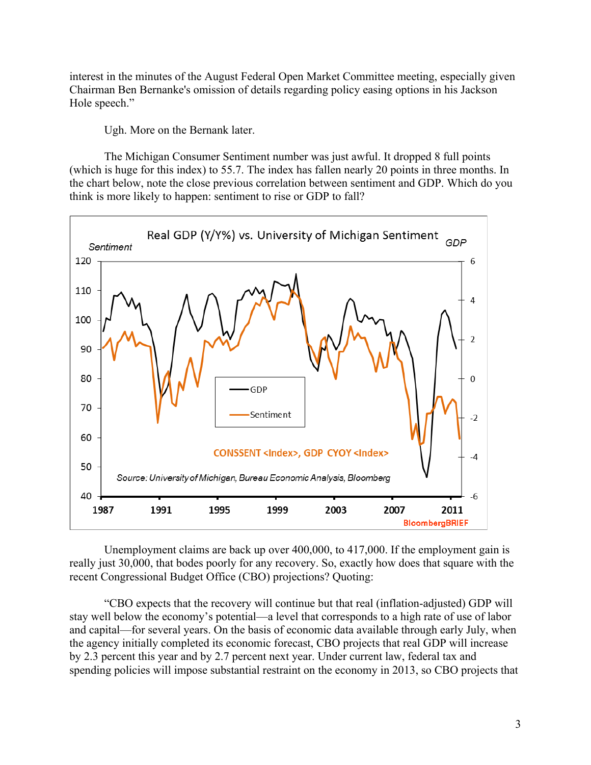interest in the minutes of the August Federal Open Market Committee meeting, especially given Chairman Ben Bernanke's omission of details regarding policy easing options in his Jackson Hole speech."

Ugh. More on the Bernank later.

The Michigan Consumer Sentiment number was just awful. It dropped 8 full points (which is huge for this index) to 55.7. The index has fallen nearly 20 points in three months. In the chart below, note the close previous correlation between sentiment and GDP. Which do you think is more likely to happen: sentiment to rise or GDP to fall?



Unemployment claims are back up over 400,000, to 417,000. If the employment gain is really just 30,000, that bodes poorly for any recovery. So, exactly how does that square with the recent Congressional Budget Office (CBO) projections? Quoting:

"CBO expects that the recovery will continue but that real (inflation-adjusted) GDP will stay well below the economy's potential—a level that corresponds to a high rate of use of labor and capital—for several years. On the basis of economic data available through early July, when the agency initially completed its economic forecast, CBO projects that real GDP will increase by 2.3 percent this year and by 2.7 percent next year. Under current law, federal tax and spending policies will impose substantial restraint on the economy in 2013, so CBO projects that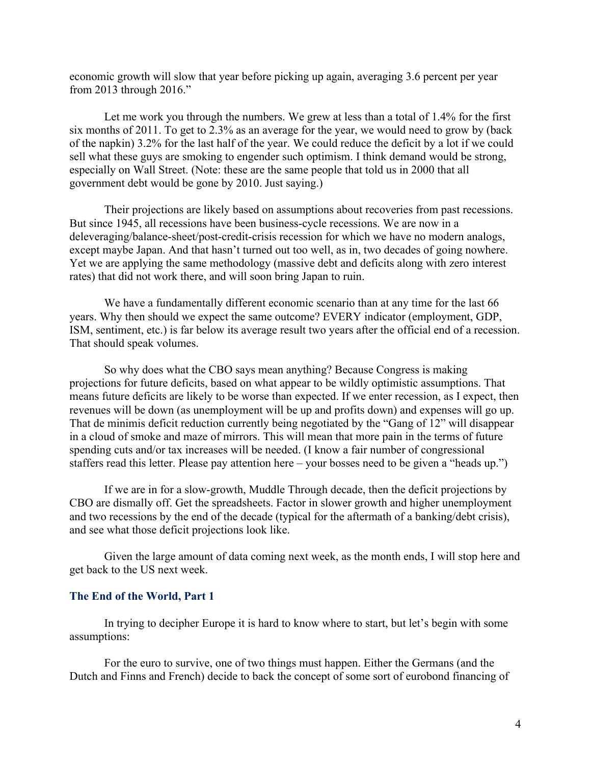economic growth will slow that year before picking up again, averaging 3.6 percent per year from 2013 through 2016."

Let me work you through the numbers. We grew at less than a total of 1.4% for the first six months of 2011. To get to 2.3% as an average for the year, we would need to grow by (back of the napkin) 3.2% for the last half of the year. We could reduce the deficit by a lot if we could sell what these guys are smoking to engender such optimism. I think demand would be strong, especially on Wall Street. (Note: these are the same people that told us in 2000 that all government debt would be gone by 2010. Just saying.)

Their projections are likely based on assumptions about recoveries from past recessions. But since 1945, all recessions have been business-cycle recessions. We are now in a deleveraging/balance-sheet/post-credit-crisis recession for which we have no modern analogs, except maybe Japan. And that hasn't turned out too well, as in, two decades of going nowhere. Yet we are applying the same methodology (massive debt and deficits along with zero interest rates) that did not work there, and will soon bring Japan to ruin.

We have a fundamentally different economic scenario than at any time for the last 66 years. Why then should we expect the same outcome? EVERY indicator (employment, GDP, ISM, sentiment, etc.) is far below its average result two years after the official end of a recession. That should speak volumes.

So why does what the CBO says mean anything? Because Congress is making projections for future deficits, based on what appear to be wildly optimistic assumptions. That means future deficits are likely to be worse than expected. If we enter recession, as I expect, then revenues will be down (as unemployment will be up and profits down) and expenses will go up. That de minimis deficit reduction currently being negotiated by the "Gang of 12" will disappear in a cloud of smoke and maze of mirrors. This will mean that more pain in the terms of future spending cuts and/or tax increases will be needed. (I know a fair number of congressional staffers read this letter. Please pay attention here – your bosses need to be given a "heads up.")

If we are in for a slow-growth, Muddle Through decade, then the deficit projections by CBO are dismally off. Get the spreadsheets. Factor in slower growth and higher unemployment and two recessions by the end of the decade (typical for the aftermath of a banking/debt crisis), and see what those deficit projections look like.

Given the large amount of data coming next week, as the month ends, I will stop here and get back to the US next week.

#### **The End of the World, Part 1**

In trying to decipher Europe it is hard to know where to start, but let's begin with some assumptions:

For the euro to survive, one of two things must happen. Either the Germans (and the Dutch and Finns and French) decide to back the concept of some sort of eurobond financing of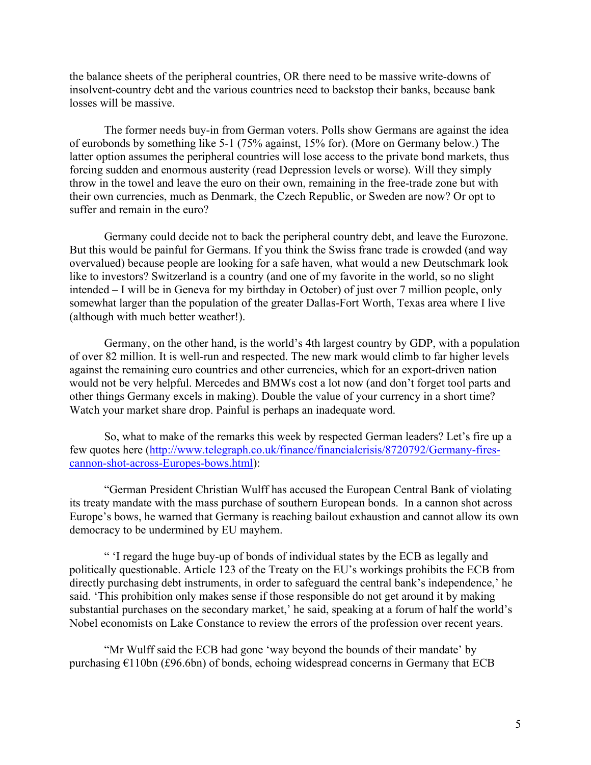the balance sheets of the peripheral countries, OR there need to be massive write-downs of insolvent-country debt and the various countries need to backstop their banks, because bank losses will be massive.

The former needs buy-in from German voters. Polls show Germans are against the idea of eurobonds by something like 5-1 (75% against, 15% for). (More on Germany below.) The latter option assumes the peripheral countries will lose access to the private bond markets, thus forcing sudden and enormous austerity (read Depression levels or worse). Will they simply throw in the towel and leave the euro on their own, remaining in the free-trade zone but with their own currencies, much as Denmark, the Czech Republic, or Sweden are now? Or opt to suffer and remain in the euro?

Germany could decide not to back the peripheral country debt, and leave the Eurozone. But this would be painful for Germans. If you think the Swiss franc trade is crowded (and way overvalued) because people are looking for a safe haven, what would a new Deutschmark look like to investors? Switzerland is a country (and one of my favorite in the world, so no slight intended – I will be in Geneva for my birthday in October) of just over 7 million people, only somewhat larger than the population of the greater Dallas-Fort Worth, Texas area where I live (although with much better weather!).

Germany, on the other hand, is the world's 4th largest country by GDP, with a population of over 82 million. It is well-run and respected. The new mark would climb to far higher levels against the remaining euro countries and other currencies, which for an export-driven nation would not be very helpful. Mercedes and BMWs cost a lot now (and don't forget tool parts and other things Germany excels in making). Double the value of your currency in a short time? Watch your market share drop. Painful is perhaps an inadequate word.

So, what to make of the remarks this week by respected German leaders? Let's fire up a few quotes here (http://www.telegraph.co.uk/finance/financialcrisis/8720792/Germany-firescannon-shot-across-Europes-bows.html):

"German President Christian Wulff has accused the European Central Bank of violating its treaty mandate with the mass purchase of southern European bonds. In a cannon shot across Europe's bows, he warned that Germany is reaching bailout exhaustion and cannot allow its own democracy to be undermined by EU mayhem.

" 'I regard the huge buy-up of bonds of individual states by the ECB as legally and politically questionable. Article 123 of the Treaty on the EU's workings prohibits the ECB from directly purchasing debt instruments, in order to safeguard the central bank's independence,' he said. 'This prohibition only makes sense if those responsible do not get around it by making substantial purchases on the secondary market,' he said, speaking at a forum of half the world's Nobel economists on Lake Constance to review the errors of the profession over recent years.

"Mr Wulff said the ECB had gone 'way beyond the bounds of their mandate' by purchasing  $E110$ bn (£96.6bn) of bonds, echoing widespread concerns in Germany that ECB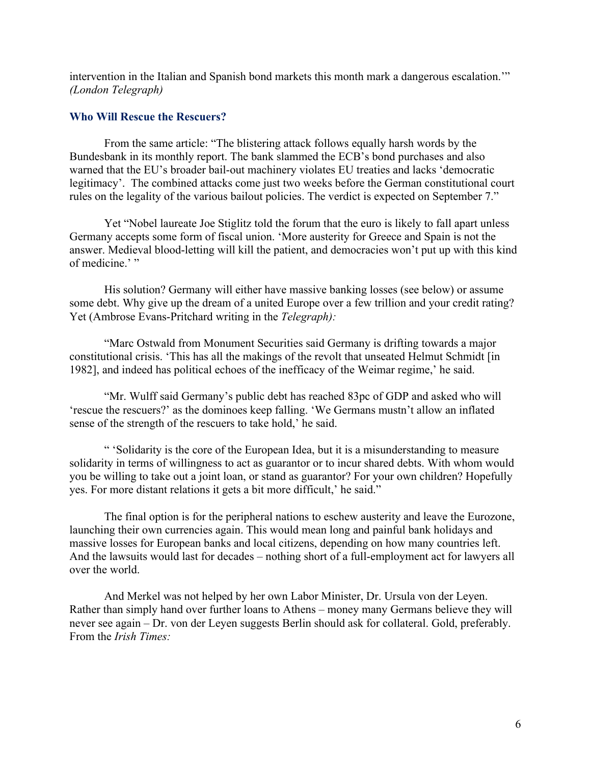intervention in the Italian and Spanish bond markets this month mark a dangerous escalation.'" *(London Telegraph)*

#### **Who Will Rescue the Rescuers?**

From the same article: "The blistering attack follows equally harsh words by the Bundesbank in its monthly report. The bank slammed the ECB's bond purchases and also warned that the EU's broader bail-out machinery violates EU treaties and lacks 'democratic legitimacy'. The combined attacks come just two weeks before the German constitutional court rules on the legality of the various bailout policies. The verdict is expected on September 7."

Yet "Nobel laureate Joe Stiglitz told the forum that the euro is likely to fall apart unless Germany accepts some form of fiscal union. 'More austerity for Greece and Spain is not the answer. Medieval blood-letting will kill the patient, and democracies won't put up with this kind of medicine.'"

His solution? Germany will either have massive banking losses (see below) or assume some debt. Why give up the dream of a united Europe over a few trillion and your credit rating? Yet (Ambrose Evans-Pritchard writing in the *Telegraph):*

"Marc Ostwald from Monument Securities said Germany is drifting towards a major constitutional crisis. 'This has all the makings of the revolt that unseated Helmut Schmidt [in 1982], and indeed has political echoes of the inefficacy of the Weimar regime,' he said.

"Mr. Wulff said Germany's public debt has reached 83pc of GDP and asked who will 'rescue the rescuers?' as the dominoes keep falling. 'We Germans mustn't allow an inflated sense of the strength of the rescuers to take hold,' he said.

" 'Solidarity is the core of the European Idea, but it is a misunderstanding to measure solidarity in terms of willingness to act as guarantor or to incur shared debts. With whom would you be willing to take out a joint loan, or stand as guarantor? For your own children? Hopefully yes. For more distant relations it gets a bit more difficult,' he said."

The final option is for the peripheral nations to eschew austerity and leave the Eurozone, launching their own currencies again. This would mean long and painful bank holidays and massive losses for European banks and local citizens, depending on how many countries left. And the lawsuits would last for decades – nothing short of a full-employment act for lawyers all over the world.

And Merkel was not helped by her own Labor Minister, Dr. Ursula von der Leyen. Rather than simply hand over further loans to Athens – money many Germans believe they will never see again – Dr. von der Leyen suggests Berlin should ask for collateral. Gold, preferably. From the *Irish Times:*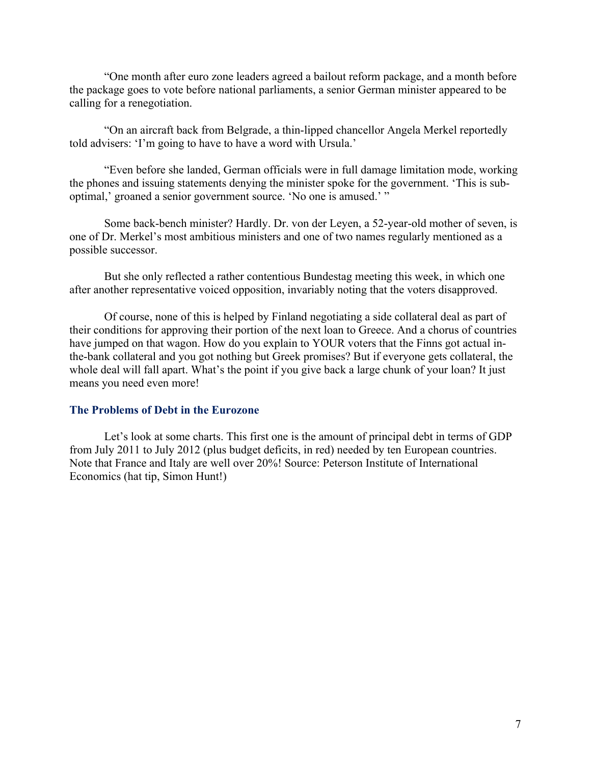"One month after euro zone leaders agreed a bailout reform package, and a month before the package goes to vote before national parliaments, a senior German minister appeared to be calling for a renegotiation.

"On an aircraft back from Belgrade, a thin-lipped chancellor Angela Merkel reportedly told advisers: 'I'm going to have to have a word with Ursula.'

"Even before she landed, German officials were in full damage limitation mode, working the phones and issuing statements denying the minister spoke for the government. 'This is suboptimal,' groaned a senior government source. 'No one is amused.' "

Some back-bench minister? Hardly. Dr. von der Leyen, a 52-year-old mother of seven, is one of Dr. Merkel's most ambitious ministers and one of two names regularly mentioned as a possible successor.

But she only reflected a rather contentious Bundestag meeting this week, in which one after another representative voiced opposition, invariably noting that the voters disapproved.

Of course, none of this is helped by Finland negotiating a side collateral deal as part of their conditions for approving their portion of the next loan to Greece. And a chorus of countries have jumped on that wagon. How do you explain to YOUR voters that the Finns got actual inthe-bank collateral and you got nothing but Greek promises? But if everyone gets collateral, the whole deal will fall apart. What's the point if you give back a large chunk of your loan? It just means you need even more!

# **The Problems of Debt in the Eurozone**

Let's look at some charts. This first one is the amount of principal debt in terms of GDP from July 2011 to July 2012 (plus budget deficits, in red) needed by ten European countries. Note that France and Italy are well over 20%! Source: Peterson Institute of International Economics (hat tip, Simon Hunt!)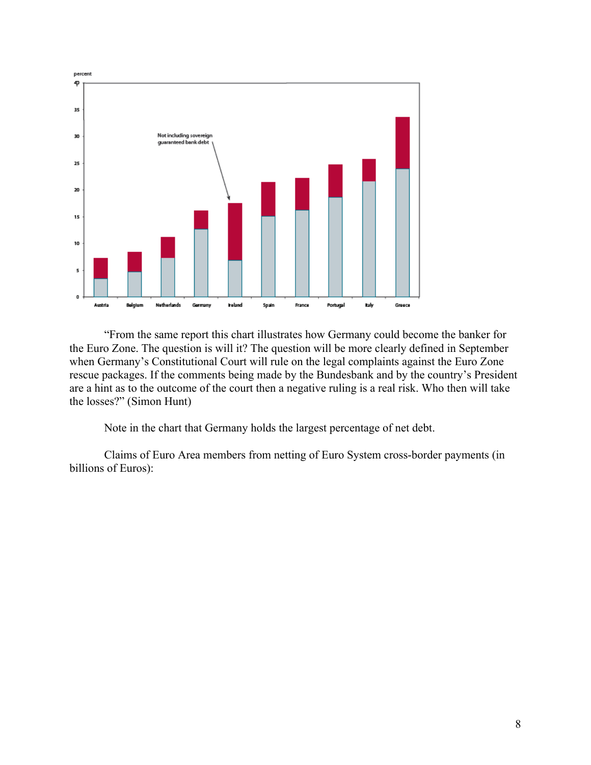

"From the same report this chart illustrates how Germany could become the banker for the Euro Zone. The question is will it? The question will be more clearly defined in September when Germany's Constitutional Court will rule on the legal complaints against the Euro Zone rescue packages. If the comments being made by the Bundesbank and by the country's President are a hint as to the outcome of the court then a negative ruling is a real risk. Who then will take the losses?" (Simon Hunt)

Note in the chart that Germany holds the largest percentage of net debt.

Claims of Euro Area members from netting of Euro System cross-border payments (in billions of Euros):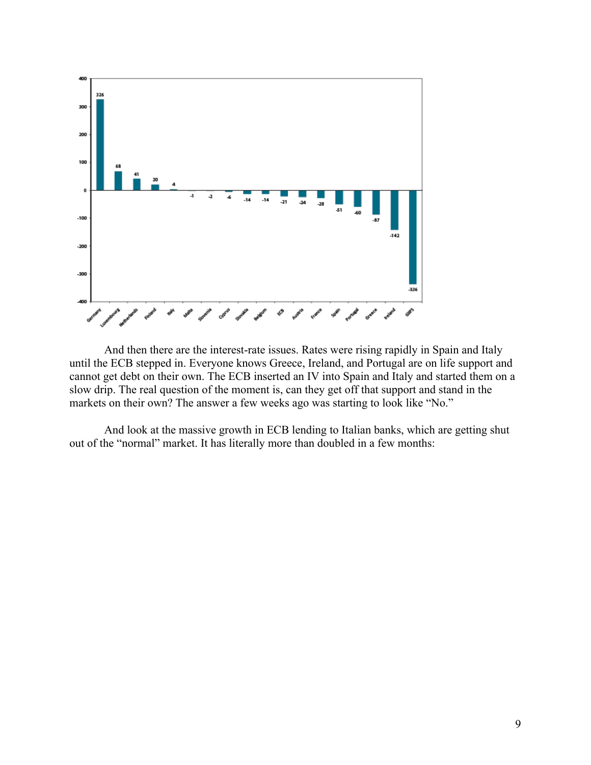

And then there are the interest-rate issues. Rates were rising rapidly in Spain and Italy until the ECB stepped in. Everyone knows Greece, Ireland, and Portugal are on life support and cannot get debt on their own. The ECB inserted an IV into Spain and Italy and started them on a slow drip. The real question of the moment is, can they get off that support and stand in the markets on their own? The answer a few weeks ago was starting to look like "No."

And look at the massive growth in ECB lending to Italian banks, which are getting shut out of the "normal" market. It has literally more than doubled in a few months: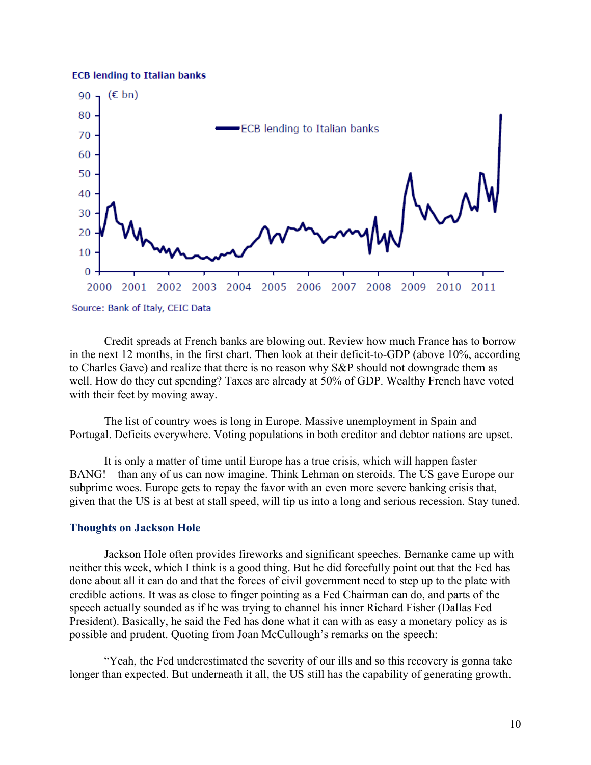#### **ECB lending to Italian banks**



Credit spreads at French banks are blowing out. Review how much France has to borrow in the next 12 months, in the first chart. Then look at their deficit-to-GDP (above 10%, according to Charles Gave) and realize that there is no reason why S&P should not downgrade them as well. How do they cut spending? Taxes are already at 50% of GDP. Wealthy French have voted with their feet by moving away.

The list of country woes is long in Europe. Massive unemployment in Spain and Portugal. Deficits everywhere. Voting populations in both creditor and debtor nations are upset.

It is only a matter of time until Europe has a true crisis, which will happen faster – BANG! – than any of us can now imagine. Think Lehman on steroids. The US gave Europe our subprime woes. Europe gets to repay the favor with an even more severe banking crisis that, given that the US is at best at stall speed, will tip us into a long and serious recession. Stay tuned.

#### **Thoughts on Jackson Hole**

Jackson Hole often provides fireworks and significant speeches. Bernanke came up with neither this week, which I think is a good thing. But he did forcefully point out that the Fed has done about all it can do and that the forces of civil government need to step up to the plate with credible actions. It was as close to finger pointing as a Fed Chairman can do, and parts of the speech actually sounded as if he was trying to channel his inner Richard Fisher (Dallas Fed President). Basically, he said the Fed has done what it can with as easy a monetary policy as is possible and prudent. Quoting from Joan McCullough's remarks on the speech:

"Yeah, the Fed underestimated the severity of our ills and so this recovery is gonna take longer than expected. But underneath it all, the US still has the capability of generating growth.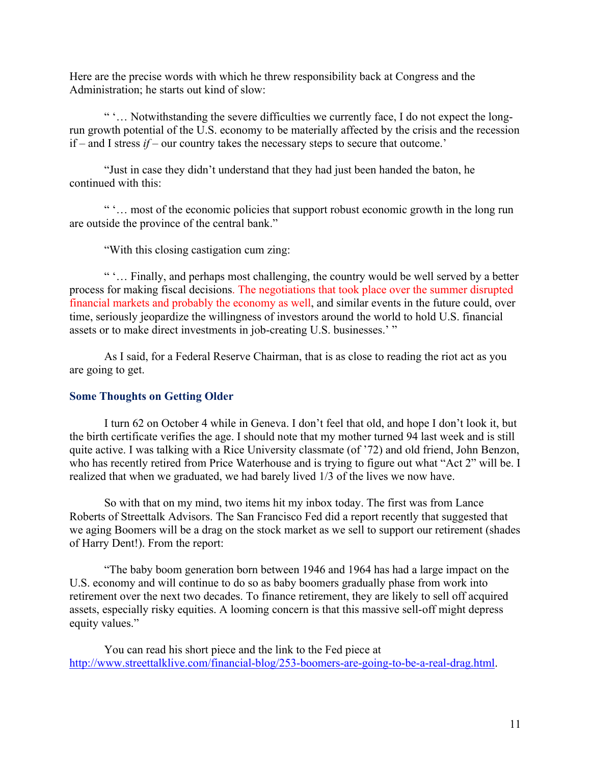Here are the precise words with which he threw responsibility back at Congress and the Administration; he starts out kind of slow:

" '… Notwithstanding the severe difficulties we currently face, I do not expect the longrun growth potential of the U.S. economy to be materially affected by the crisis and the recession if – and I stress *if* – our country takes the necessary steps to secure that outcome.'

"Just in case they didn't understand that they had just been handed the baton, he continued with this:

" '… most of the economic policies that support robust economic growth in the long run are outside the province of the central bank."

"With this closing castigation cum zing:

" '… Finally, and perhaps most challenging, the country would be well served by a better process for making fiscal decisions. The negotiations that took place over the summer disrupted financial markets and probably the economy as well, and similar events in the future could, over time, seriously jeopardize the willingness of investors around the world to hold U.S. financial assets or to make direct investments in job-creating U.S. businesses.' "

As I said, for a Federal Reserve Chairman, that is as close to reading the riot act as you are going to get.

# **Some Thoughts on Getting Older**

I turn 62 on October 4 while in Geneva. I don't feel that old, and hope I don't look it, but the birth certificate verifies the age. I should note that my mother turned 94 last week and is still quite active. I was talking with a Rice University classmate (of '72) and old friend, John Benzon, who has recently retired from Price Waterhouse and is trying to figure out what "Act 2" will be. I realized that when we graduated, we had barely lived 1/3 of the lives we now have.

So with that on my mind, two items hit my inbox today. The first was from Lance Roberts of Streettalk Advisors. The San Francisco Fed did a report recently that suggested that we aging Boomers will be a drag on the stock market as we sell to support our retirement (shades of Harry Dent!). From the report:

"The baby boom generation born between 1946 and 1964 has had a large impact on the U.S. economy and will continue to do so as baby boomers gradually phase from work into retirement over the next two decades. To finance retirement, they are likely to sell off acquired assets, especially risky equities. A looming concern is that this massive sell-off might depress equity values."

You can read his short piece and the link to the Fed piece at http://www.streettalklive.com/financial-blog/253-boomers-are-going-to-be-a-real-drag.html.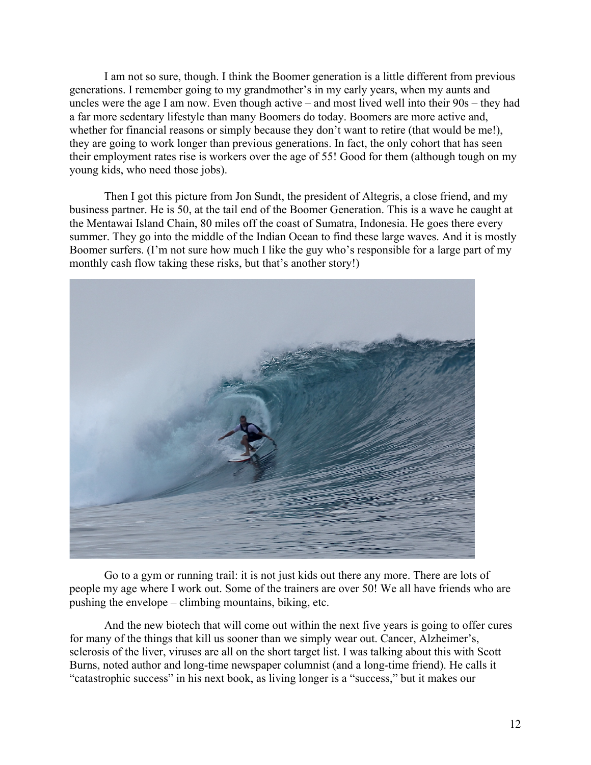I am not so sure, though. I think the Boomer generation is a little different from previous generations. I remember going to my grandmother's in my early years, when my aunts and uncles were the age I am now. Even though active – and most lived well into their 90s – they had a far more sedentary lifestyle than many Boomers do today. Boomers are more active and, whether for financial reasons or simply because they don't want to retire (that would be me!), they are going to work longer than previous generations. In fact, the only cohort that has seen their employment rates rise is workers over the age of 55! Good for them (although tough on my young kids, who need those jobs).

Then I got this picture from Jon Sundt, the president of Altegris, a close friend, and my business partner. He is 50, at the tail end of the Boomer Generation. This is a wave he caught at the Mentawai Island Chain, 80 miles off the coast of Sumatra, Indonesia. He goes there every summer. They go into the middle of the Indian Ocean to find these large waves. And it is mostly Boomer surfers. (I'm not sure how much I like the guy who's responsible for a large part of my monthly cash flow taking these risks, but that's another story!)



Go to a gym or running trail: it is not just kids out there any more. There are lots of people my age where I work out. Some of the trainers are over 50! We all have friends who are pushing the envelope – climbing mountains, biking, etc.

And the new biotech that will come out within the next five years is going to offer cures for many of the things that kill us sooner than we simply wear out. Cancer, Alzheimer's, sclerosis of the liver, viruses are all on the short target list. I was talking about this with Scott Burns, noted author and long-time newspaper columnist (and a long-time friend). He calls it "catastrophic success" in his next book, as living longer is a "success," but it makes our